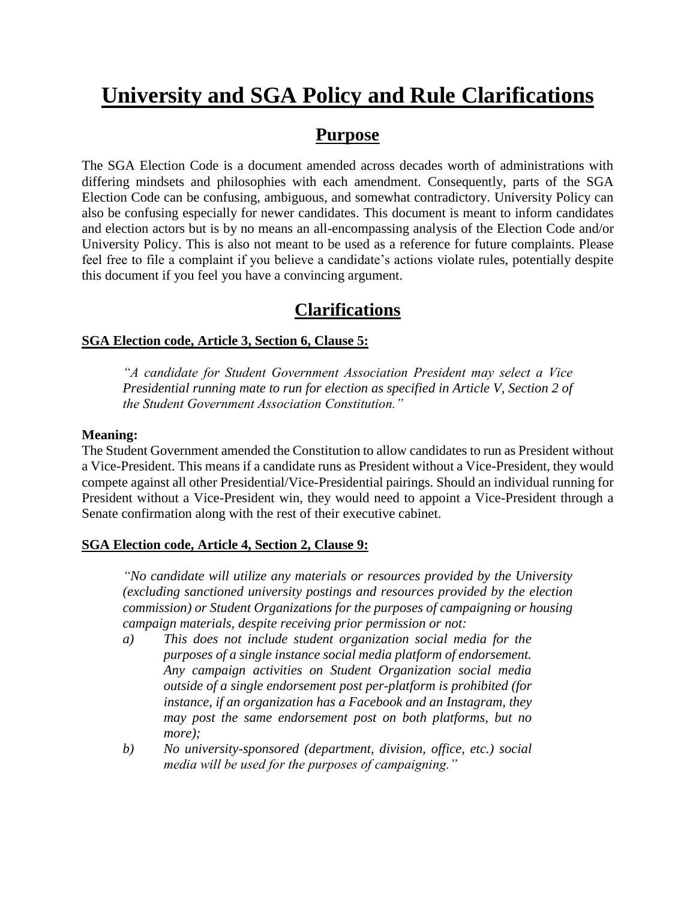# **University and SGA Policy and Rule Clarifications**

### **Purpose**

The SGA Election Code is a document amended across decades worth of administrations with differing mindsets and philosophies with each amendment. Consequently, parts of the SGA Election Code can be confusing, ambiguous, and somewhat contradictory. University Policy can also be confusing especially for newer candidates. This document is meant to inform candidates and election actors but is by no means an all-encompassing analysis of the Election Code and/or University Policy. This is also not meant to be used as a reference for future complaints. Please feel free to file a complaint if you believe a candidate's actions violate rules, potentially despite this document if you feel you have a convincing argument.

## **Clarifications**

#### **SGA Election code, Article 3, Section 6, Clause 5:**

*"A candidate for Student Government Association President may select a Vice Presidential running mate to run for election as specified in Article V, Section 2 of the Student Government Association Constitution."*

#### **Meaning:**

The Student Government amended the Constitution to allow candidates to run as President without a Vice-President. This means if a candidate runs as President without a Vice-President, they would compete against all other Presidential/Vice-Presidential pairings. Should an individual running for President without a Vice-President win, they would need to appoint a Vice-President through a Senate confirmation along with the rest of their executive cabinet.

#### **SGA Election code, Article 4, Section 2, Clause 9:**

*"No candidate will utilize any materials or resources provided by the University (excluding sanctioned university postings and resources provided by the election commission) or Student Organizations for the purposes of campaigning or housing campaign materials, despite receiving prior permission or not:*

- *a) This does not include student organization social media for the purposes of a single instance social media platform of endorsement. Any campaign activities on Student Organization social media outside of a single endorsement post per-platform is prohibited (for instance, if an organization has a Facebook and an Instagram, they may post the same endorsement post on both platforms, but no more);*
- *b) No university-sponsored (department, division, office, etc.) social media will be used for the purposes of campaigning."*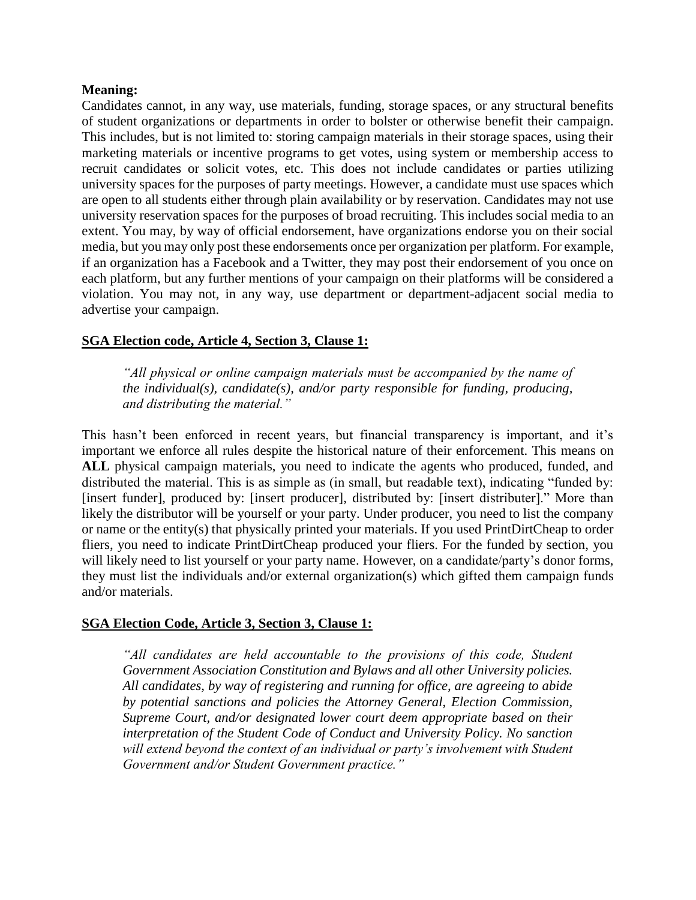#### **Meaning:**

Candidates cannot, in any way, use materials, funding, storage spaces, or any structural benefits of student organizations or departments in order to bolster or otherwise benefit their campaign. This includes, but is not limited to: storing campaign materials in their storage spaces, using their marketing materials or incentive programs to get votes, using system or membership access to recruit candidates or solicit votes, etc. This does not include candidates or parties utilizing university spaces for the purposes of party meetings. However, a candidate must use spaces which are open to all students either through plain availability or by reservation. Candidates may not use university reservation spaces for the purposes of broad recruiting. This includes social media to an extent. You may, by way of official endorsement, have organizations endorse you on their social media, but you may only post these endorsements once per organization per platform. For example, if an organization has a Facebook and a Twitter, they may post their endorsement of you once on each platform, but any further mentions of your campaign on their platforms will be considered a violation. You may not, in any way, use department or department-adjacent social media to advertise your campaign.

#### **SGA Election code, Article 4, Section 3, Clause 1:**

*"All physical or online campaign materials must be accompanied by the name of the individual(s), candidate(s), and/or party responsible for funding, producing, and distributing the material."*

This hasn't been enforced in recent years, but financial transparency is important, and it's important we enforce all rules despite the historical nature of their enforcement. This means on **ALL** physical campaign materials, you need to indicate the agents who produced, funded, and distributed the material. This is as simple as (in small, but readable text), indicating "funded by: [insert funder], produced by: [insert producer], distributed by: [insert distributer]." More than likely the distributor will be yourself or your party. Under producer, you need to list the company or name or the entity(s) that physically printed your materials. If you used PrintDirtCheap to order fliers, you need to indicate PrintDirtCheap produced your fliers. For the funded by section, you will likely need to list yourself or your party name. However, on a candidate/party's donor forms, they must list the individuals and/or external organization(s) which gifted them campaign funds and/or materials.

#### **SGA Election Code, Article 3, Section 3, Clause 1:**

*All candidates are held accountable to the provisions of this code, Student Government Association Constitution and Bylaws and all other University policies. All candidates, by way of registering and running for office, are agreeing to abide by potential sanctions and policies the Attorney General, Election Commission, Supreme Court, and/or designated lower court deem appropriate based on their interpretation of the Student Code of Conduct and University Policy. No sanction*  will extend beyond the context of an individual or party's involvement with Student *Government and/or Student Government practice."*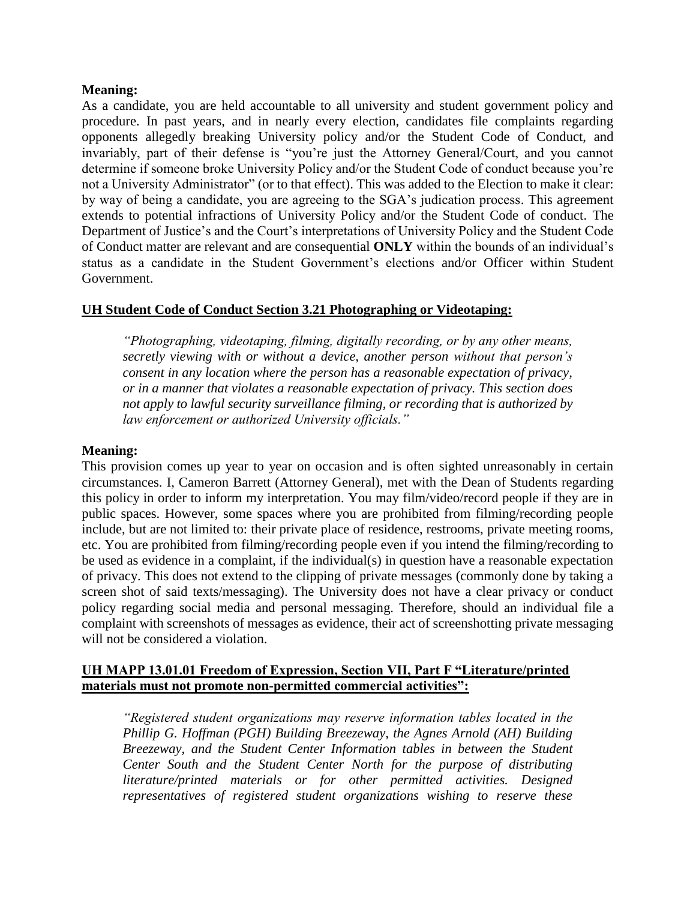#### **Meaning:**

As a candidate, you are held accountable to all university and student government policy and procedure. In past years, and in nearly every election, candidates file complaints regarding opponents allegedly breaking University policy and/or the Student Code of Conduct, and invariably, part of their defense is "you're just the Attorney General/Court, and you cannot determine if someone broke University Policy and/or the Student Code of conduct because you're not a University Administrator" (or to that effect). This was added to the Election to make it clear: by way of being a candidate, you are agreeing to the SGA's judication process. This agreement extends to potential infractions of University Policy and/or the Student Code of conduct. The Department of Justice's and the Court's interpretations of University Policy and the Student Code of Conduct matter are relevant and are consequential **ONLY** within the bounds of an individual's status as a candidate in the Student Government's elections and/or Officer within Student Government.

#### **UH Student Code of Conduct Section 3.21 Photographing or Videotaping:**

*"Photographing, videotaping, filming, digitally recording, or by any other means, secretly viewing with or without a device, another person without that person's consent in any location where the person has a reasonable expectation of privacy, or in a manner that violates a reasonable expectation of privacy. This section does not apply to lawful security surveillance filming, or recording that is authorized by law enforcement or authorized University officials."*

#### **Meaning:**

This provision comes up year to year on occasion and is often sighted unreasonably in certain circumstances. I, Cameron Barrett (Attorney General), met with the Dean of Students regarding this policy in order to inform my interpretation. You may film/video/record people if they are in public spaces. However, some spaces where you are prohibited from filming/recording people include, but are not limited to: their private place of residence, restrooms, private meeting rooms, etc. You are prohibited from filming/recording people even if you intend the filming/recording to be used as evidence in a complaint, if the individual(s) in question have a reasonable expectation of privacy. This does not extend to the clipping of private messages (commonly done by taking a screen shot of said texts/messaging). The University does not have a clear privacy or conduct policy regarding social media and personal messaging. Therefore, should an individual file a complaint with screenshots of messages as evidence, their act of screenshotting private messaging will not be considered a violation.

#### **UH MAPP 13.01.01 Freedom of Expression, Section VII, Part F "Literature/printed materials must not promote non-permitted commercial activities":**

*"Registered student organizations may reserve information tables located in the Phillip G. Hoffman (PGH) Building Breezeway, the Agnes Arnold (AH) Building Breezeway, and the Student Center Information tables in between the Student Center South and the Student Center North for the purpose of distributing literature/printed materials or for other permitted activities. Designed representatives of registered student organizations wishing to reserve these*